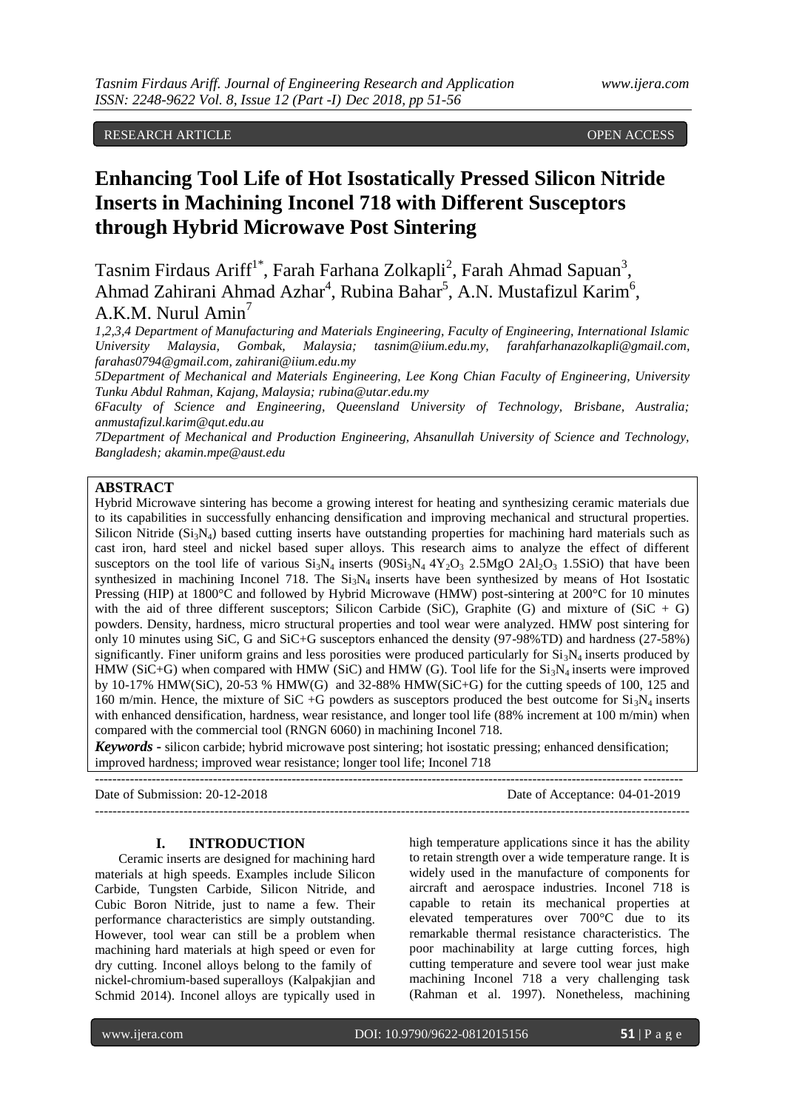## RESEARCH ARTICLE OPEN ACCESS

# **Enhancing Tool Life of Hot Isostatically Pressed Silicon Nitride Inserts in Machining Inconel 718 with Different Susceptors through Hybrid Microwave Post Sintering**

Tasnim Firdaus Ariff<sup>1\*</sup>, Farah Farhana Zolkapli<sup>2</sup>, Farah Ahmad Sapuan<sup>3</sup>, Ahmad Zahirani Ahmad Azhar<sup>4</sup>, Rubina Bahar<sup>5</sup>, A.N. Mustafizul Karim<sup>6</sup>,

## A.K.M. Nurul  $Amin^7$

*1,2,3,4 Department of Manufacturing and Materials Engineering, Faculty of Engineering, International Islamic University Malaysia, Gombak, Malaysia; tasnim@iium.edu.my, [farahfarhanazolkapli@gmail.com,](mailto:farahfarhanazolkapli@gmail.com) [farahas0794@gmail.com,](mailto:farahas0794@gmail.com) zahirani@iium.edu.my*

*5Department of Mechanical and Materials Engineering, Lee Kong Chian Faculty of Engineering, University Tunku Abdul Rahman, Kajang, Malaysia[; rubina@utar.edu.my](mailto:rubina@utar.edu.my)*

*6Faculty of Science and Engineering, Queensland University of Technology, Brisbane, Australia; [anmustafizul.karim@qut.edu.au](mailto:anmustafizul.karim@qut.edu.au)*

*7Department of Mechanical and Production Engineering, Ahsanullah University of Science and Technology, Bangladesh; [akamin.mpe@aust.edu](mailto:rubina@utar.edu.my)*

## **ABSTRACT**

Hybrid Microwave sintering has become a growing interest for heating and synthesizing ceramic materials due to its capabilities in successfully enhancing densification and improving mechanical and structural properties. Silicon Nitride ( $Si_3N_4$ ) based cutting inserts have outstanding properties for machining hard materials such as cast iron, hard steel and nickel based super alloys. This research aims to analyze the effect of different susceptors on the tool life of various  $Si_3N_4$  inserts  $(90Si_3N_4 4Y_2O_3 2.5MgO 2Al_2O_3 1.5SiO)$  that have been synthesized in machining Inconel 718. The  $Si<sub>3</sub>N<sub>4</sub>$  inserts have been synthesized by means of Hot Isostatic Pressing (HIP) at 1800°C and followed by Hybrid Microwave (HMW) post-sintering at 200°C for 10 minutes with the aid of three different susceptors; Silicon Carbide (SiC), Graphite (G) and mixture of  $(SiC + G)$ powders. Density, hardness, micro structural properties and tool wear were analyzed. HMW post sintering for only 10 minutes using SiC, G and SiC+G susceptors enhanced the density (97-98%TD) and hardness (27-58%) significantly. Finer uniform grains and less porosities were produced particularly for  $Si<sub>3</sub>N<sub>4</sub>$  inserts produced by HMW (SiC+G) when compared with HMW (SiC) and HMW (G). Tool life for the  $Si<sub>3</sub>N<sub>4</sub>$  inserts were improved by 10-17% HMW(SiC), 20-53 % HMW(G) and 32-88% HMW(SiC+G) for the cutting speeds of 100, 125 and 160 m/min. Hence, the mixture of SiC +G powders as susceptors produced the best outcome for  $Si_3N_4$  inserts with enhanced densification, hardness, wear resistance, and longer tool life (88% increment at 100 m/min) when compared with the commercial tool (RNGN 6060) in machining Inconel 718.

*Keywords* **-** silicon carbide; hybrid microwave post sintering; hot isostatic pressing; enhanced densification; improved hardness; improved wear resistance; longer tool life; Inconel 718

--------------------------------------------------------------------------------------------------------------------------------------

Date of Submission: 20-12-2018 Date of Acceptance: 04-01-2019

### **I. INTRODUCTION**

--------------------------------------------------------------------------------------------------------------------------------------

Ceramic inserts are designed for machining hard materials at high speeds. Examples include Silicon Carbide, Tungsten Carbide, Silicon Nitride, and Cubic Boron Nitride, just to name a few. Their performance characteristics are simply outstanding. However, tool wear can still be a problem when machining hard materials at high speed or even for dry cutting. Inconel alloys belong to the family of [nickel-](https://en.wikipedia.org/wiki/Nickel)[chromium-](https://en.wikipedia.org/wiki/Chromium)based [superalloys](https://en.wikipedia.org/wiki/Superalloy) (Kalpakjian and Schmid 2014). Inconel alloys are typically used in

high temperature applications since it has the ability to retain strength over a wide temperature range. It is widely used in the manufacture of components for aircraft and aerospace industries. Inconel 718 is capable to retain its mechanical properties at elevated temperatures over 700°C due to its remarkable thermal resistance characteristics. The poor machinability at large cutting forces, high cutting temperature and severe tool wear just make machining Inconel 718 a very challenging task (Rahman et al. 1997). Nonetheless, machining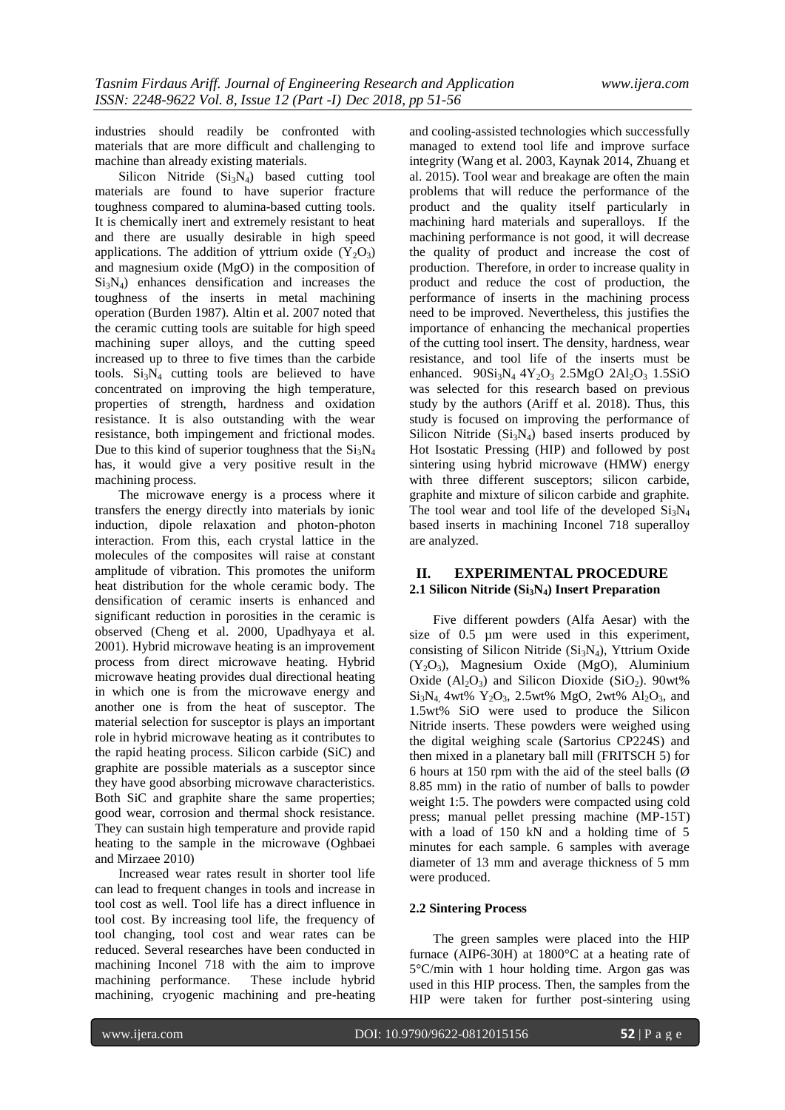industries should readily be confronted with materials that are more difficult and challenging to machine than already existing materials.

Silicon Nitride  $(Si<sub>3</sub>N<sub>4</sub>)$  based cutting tool materials are found to have superior fracture toughness compared to alumina-based cutting tools. It is chemically inert and extremely resistant to heat and there are usually desirable in high speed applications. The addition of yttrium oxide  $(Y_2O_3)$ and magnesium oxide (MgO) in the composition of  $Si<sub>3</sub>N<sub>4</sub>$  enhances densification and increases the toughness of the inserts in metal machining operation (Burden 1987). Altin et al. 2007 noted that the ceramic cutting tools are suitable for high speed machining super alloys, and the cutting speed increased up to three to five times than the carbide tools.  $Si<sub>3</sub>N<sub>4</sub>$  cutting tools are believed to have concentrated on improving the high temperature, properties of strength, hardness and oxidation resistance. It is also outstanding with the wear resistance, both impingement and frictional modes. Due to this kind of superior toughness that the  $Si<sub>3</sub>N<sub>4</sub>$ has, it would give a very positive result in the machining process.

The microwave energy is a process where it transfers the energy directly into materials by ionic induction, dipole relaxation and photon-photon interaction. From this, each crystal lattice in the molecules of the composites will raise at constant amplitude of vibration. This promotes the uniform heat distribution for the whole ceramic body. The densification of ceramic inserts is enhanced and significant reduction in porosities in the ceramic is observed (Cheng et al. 2000, Upadhyaya et al. 2001). Hybrid microwave heating is an improvement process from direct microwave heating. Hybrid microwave heating provides dual directional heating in which one is from the microwave energy and another one is from the heat of susceptor. The material selection for susceptor is plays an important role in hybrid microwave heating as it contributes to the rapid heating process. Silicon carbide (SiC) and graphite are possible materials as a susceptor since they have good absorbing microwave characteristics. Both SiC and graphite share the same properties; good wear, corrosion and thermal shock resistance. They can sustain high temperature and provide rapid heating to the sample in the microwave (Oghbaei and Mirzaee 2010)

Increased wear rates result in shorter tool life can lead to frequent changes in tools and increase in tool cost as well. Tool life has a direct influence in tool cost. By increasing tool life, the frequency of tool changing, tool cost and wear rates can be reduced. Several researches have been conducted in machining Inconel 718 with the aim to improve machining performance. These include hybrid machining, cryogenic machining and pre-heating

and cooling-assisted technologies which successfully managed to extend tool life and improve surface integrity (Wang et al. 2003, Kaynak 2014, Zhuang et al. 2015). Tool wear and breakage are often the main problems that will reduce the performance of the product and the quality itself particularly in machining hard materials and superalloys. If the machining performance is not good, it will decrease the quality of product and increase the cost of production. Therefore, in order to increase quality in product and reduce the cost of production, the performance of inserts in the machining process need to be improved. Nevertheless, this justifies the importance of enhancing the mechanical properties of the cutting tool insert. The density, hardness, wear resistance, and tool life of the inserts must be enhanced.  $90Si_3N_4 4Y_2O_3 2.5MgO 2Al_2O_3 1.5SiO$ was selected for this research based on previous study by the authors (Ariff et al. 2018). Thus, this study is focused on improving the performance of Silicon Nitride  $(Si<sub>3</sub>N<sub>4</sub>)$  based inserts produced by Hot Isostatic Pressing (HIP) and followed by post sintering using hybrid microwave (HMW) energy with three different susceptors; silicon carbide, graphite and mixture of silicon carbide and graphite. The tool wear and tool life of the developed  $Si<sub>3</sub>N<sub>4</sub>$ based inserts in machining Inconel 718 superalloy are analyzed.

## **II. EXPERIMENTAL PROCEDURE 2.1 Silicon Nitride (Si3N4) Insert Preparation**

Five different powders (Alfa Aesar) with the size of 0.5  $\mu$ m were used in this experiment, consisting of Silicon Nitride  $(Si<sub>3</sub>N<sub>4</sub>)$ , Yttrium Oxide  $(Y_2O_3)$ , Magnesium Oxide (MgO), Aluminium Oxide  $(A_1, O_3)$  and Silicon Dioxide (SiO<sub>2</sub>). 90wt%  $Si<sub>3</sub>N<sub>4</sub>$ , 4wt%  $Y<sub>2</sub>O<sub>3</sub>$ , 2.5wt% MgO, 2wt% Al<sub>2</sub>O<sub>3</sub>, and 1.5wt% SiO were used to produce the Silicon Nitride inserts. These powders were weighed using the digital weighing scale (Sartorius CP224S) and then mixed in a planetary ball mill (FRITSCH 5) for 6 hours at 150 rpm with the aid of the steel balls  $(\emptyset)$ 8.85 mm) in the ratio of number of balls to powder weight 1:5. The powders were compacted using cold press; manual pellet pressing machine (MP-15T) with a load of 150 kN and a holding time of 5 minutes for each sample. 6 samples with average diameter of 13 mm and average thickness of 5 mm were produced.

## **2.2 Sintering Process**

The green samples were placed into the HIP furnace (AIP6-30H) at 1800°C at a heating rate of 5°C/min with 1 hour holding time. Argon gas was used in this HIP process. Then, the samples from the HIP were taken for further post-sintering using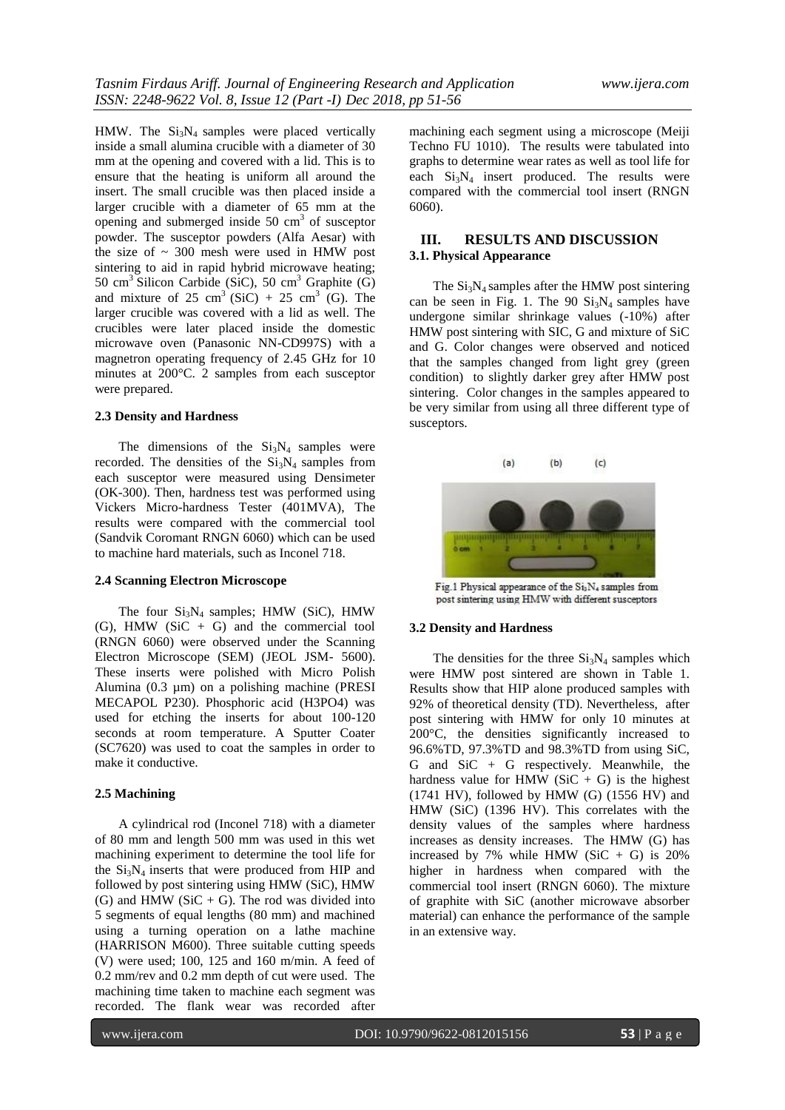HMW. The  $Si<sub>3</sub>N<sub>4</sub>$  samples were placed vertically inside a small alumina crucible with a diameter of 30 mm at the opening and covered with a lid. This is to ensure that the heating is uniform all around the insert. The small crucible was then placed inside a larger crucible with a diameter of 65 mm at the opening and submerged inside  $50 \text{ cm}^3$  of susceptor powder. The susceptor powders (Alfa Aesar) with the size of  $\sim 300$  mesh were used in HMW post sintering to aid in rapid hybrid microwave heating; 50  $\text{cm}^3$  Silicon Carbide (SiC), 50  $\text{cm}^3$  Graphite (G) and mixture of  $25 \text{ cm}^3 \text{ (SiC)} + 25 \text{ cm}^3 \text{ (G)}$ . The larger crucible was covered with a lid as well. The crucibles were later placed inside the domestic microwave oven (Panasonic NN-CD997S) with a magnetron operating frequency of 2.45 GHz for 10 minutes at 200°C. 2 samples from each susceptor were prepared.

#### **2.3 Density and Hardness**

The dimensions of the  $Si<sub>3</sub>N<sub>4</sub>$  samples were recorded. The densities of the  $Si<sub>3</sub>N<sub>4</sub>$  samples from each susceptor were measured using Densimeter (OK-300). Then, hardness test was performed using Vickers Micro-hardness Tester (401MVA), The results were compared with the commercial tool (Sandvik Coromant RNGN 6060) which can be used to machine hard materials, such as Inconel 718.

#### **2.4 Scanning Electron Microscope**

The four  $Si<sub>3</sub>N<sub>4</sub>$  samples; HMW (SiC), HMW (G), HMW (SiC  $+$  G) and the commercial tool (RNGN 6060) were observed under the Scanning Electron Microscope (SEM) (JEOL JSM- 5600). These inserts were polished with Micro Polish Alumina (0.3 µm) on a polishing machine (PRESI MECAPOL P230). Phosphoric acid (H3PO4) was used for etching the inserts for about 100-120 seconds at room temperature. A Sputter Coater (SC7620) was used to coat the samples in order to make it conductive.

#### **2.5 Machining**

A cylindrical rod (Inconel 718) with a diameter of 80 mm and length 500 mm was used in this wet machining experiment to determine the tool life for the  $Si<sub>3</sub>N<sub>4</sub>$  inserts that were produced from HIP and followed by post sintering using HMW (SiC), HMW (G) and HMW ( $SiC + G$ ). The rod was divided into 5 segments of equal lengths (80 mm) and machined using a turning operation on a lathe machine (HARRISON M600). Three suitable cutting speeds (V) were used; 100, 125 and 160 m/min. A feed of 0.2 mm/rev and 0.2 mm depth of cut were used. The machining time taken to machine each segment was recorded. The flank wear was recorded after

machining each segment using a microscope (Meiji Techno FU 1010). The results were tabulated into graphs to determine wear rates as well as tool life for each  $Si<sub>3</sub>N<sub>4</sub>$  insert produced. The results were compared with the commercial tool insert (RNGN 6060).

## **III. RESULTS AND DISCUSSION 3.1. Physical Appearance**

The  $Si<sub>3</sub>N<sub>4</sub>$  samples after the HMW post sintering can be seen in Fig. 1. The 90  $Si<sub>3</sub>N<sub>4</sub>$  samples have undergone similar shrinkage values (-10%) after HMW post sintering with SIC, G and mixture of SiC and G. Color changes were observed and noticed that the samples changed from light grey (green condition) to slightly darker grey after HMW post sintering. Color changes in the samples appeared to be very similar from using all three different type of susceptors.



Fig.1 Physical appearance of the Si<sub>3</sub>N<sub>4</sub> samples from post sintering using HMW with different susceptors

#### **3.2 Density and Hardness**

The densities for the three  $Si<sub>3</sub>N<sub>4</sub>$  samples which were HMW post sintered are shown in Table 1. Results show that HIP alone produced samples with 92% of theoretical density (TD). Nevertheless, after post sintering with HMW for only 10 minutes at 200°C, the densities significantly increased to 96.6%TD, 97.3%TD and 98.3%TD from using SiC, G and SiC + G respectively. Meanwhile, the hardness value for HMW (SiC  $+$  G) is the highest  $(1741 \text{ HV})$ , followed by HMW  $(G)$   $(1556 \text{ HV})$  and HMW (SiC) (1396 HV). This correlates with the density values of the samples where hardness increases as density increases. The HMW (G) has increased by 7% while HMW (SiC  $+$  G) is 20% higher in hardness when compared with the commercial tool insert (RNGN 6060). The mixture of graphite with SiC (another microwave absorber material) can enhance the performance of the sample in an extensive way.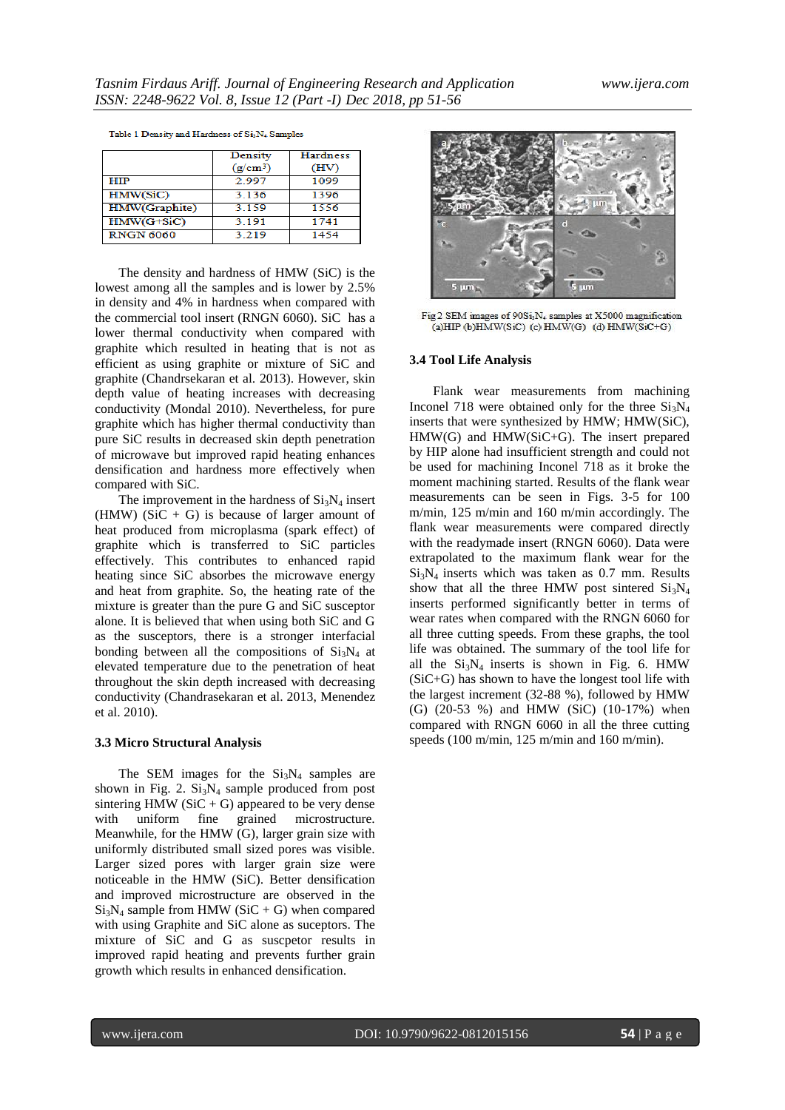|  |  | Table 1 Density and Hardness of Si3N4 Samples |
|--|--|-----------------------------------------------|
|  |  |                                               |

|                  | Density<br>$(g/cm^3)$ | <b>Hardness</b><br>(HV) |
|------------------|-----------------------|-------------------------|
| HIP              | 2.997                 | 1099                    |
| HMW(SiC)         | 3.136                 | 1396                    |
| HMW(Graphite)    | 3 1 5 9               | 1556                    |
| $HMW(G+SiC)$     | 3.191                 | 1741                    |
| <b>RNGN 6060</b> | 3.219                 | 1454                    |

The density and hardness of HMW (SiC) is the lowest among all the samples and is lower by 2.5% in density and 4% in hardness when compared with the commercial tool insert (RNGN 6060). SiC has a lower thermal conductivity when compared with graphite which resulted in heating that is not as efficient as using graphite or mixture of SiC and graphite (Chandrsekaran et al. 2013). However, skin depth value of heating increases with decreasing conductivity (Mondal 2010). Nevertheless, for pure graphite which has higher thermal conductivity than pure SiC results in decreased skin depth penetration of microwave but improved rapid heating enhances densification and hardness more effectively when compared with SiC.

The improvement in the hardness of  $Si<sub>3</sub>N<sub>4</sub>$  insert (HMW) (SiC + G) is because of larger amount of heat produced from microplasma (spark effect) of graphite which is transferred to SiC particles effectively. This contributes to enhanced rapid heating since SiC absorbes the microwave energy and heat from graphite. So, the heating rate of the mixture is greater than the pure G and SiC susceptor alone. It is believed that when using both SiC and G as the susceptors, there is a stronger interfacial bonding between all the compositions of  $Si<sub>3</sub>N<sub>4</sub>$  at elevated temperature due to the penetration of heat throughout the skin depth increased with decreasing conductivity (Chandrasekaran et al. 2013, Menendez et al. 2010).

#### **3.3 Micro Structural Analysis**

The SEM images for the  $Si<sub>3</sub>N<sub>4</sub>$  samples are shown in Fig. 2.  $Si<sub>3</sub>N<sub>4</sub>$  sample produced from post sintering HMW ( $SiC + G$ ) appeared to be very dense with uniform fine grained microstructure. Meanwhile, for the HMW (G), larger grain size with uniformly distributed small sized pores was visible. Larger sized pores with larger grain size were noticeable in the HMW (SiC). Better densification and improved microstructure are observed in the  $Si<sub>3</sub>N<sub>4</sub>$  sample from HMW (SiC + G) when compared with using Graphite and SiC alone as suceptors. The mixture of SiC and G as suscpetor results in improved rapid heating and prevents further grain growth which results in enhanced densification.



Fig 2 SEM images of 90Si<sub>3</sub>N<sub>4</sub> samples at X5000 magnification (a) HIP (b) HMW(SiC) (c) HMW(G) (d) HMW(SiC+G)

#### **3.4 Tool Life Analysis**

Flank wear measurements from machining Inconel 718 were obtained only for the three  $Si<sub>3</sub>N<sub>4</sub>$ inserts that were synthesized by HMW; HMW(SiC), HMW(G) and HMW(SiC+G). The insert prepared by HIP alone had insufficient strength and could not be used for machining Inconel 718 as it broke the moment machining started. Results of the flank wear measurements can be seen in Figs. 3-5 for 100 m/min, 125 m/min and 160 m/min accordingly. The flank wear measurements were compared directly with the readymade insert (RNGN 6060). Data were extrapolated to the maximum flank wear for the  $Si<sub>3</sub>N<sub>4</sub>$  inserts which was taken as 0.7 mm. Results show that all the three HMW post sintered  $Si<sub>3</sub>N<sub>4</sub>$ inserts performed significantly better in terms of wear rates when compared with the RNGN 6060 for all three cutting speeds. From these graphs, the tool life was obtained. The summary of the tool life for all the  $Si<sub>3</sub>N<sub>4</sub>$  inserts is shown in Fig. 6. HMW (SiC+G) has shown to have the longest tool life with the largest increment (32-88 %), followed by HMW (G) (20-53 %) and HMW (SiC) (10-17%) when compared with RNGN 6060 in all the three cutting speeds (100 m/min, 125 m/min and 160 m/min).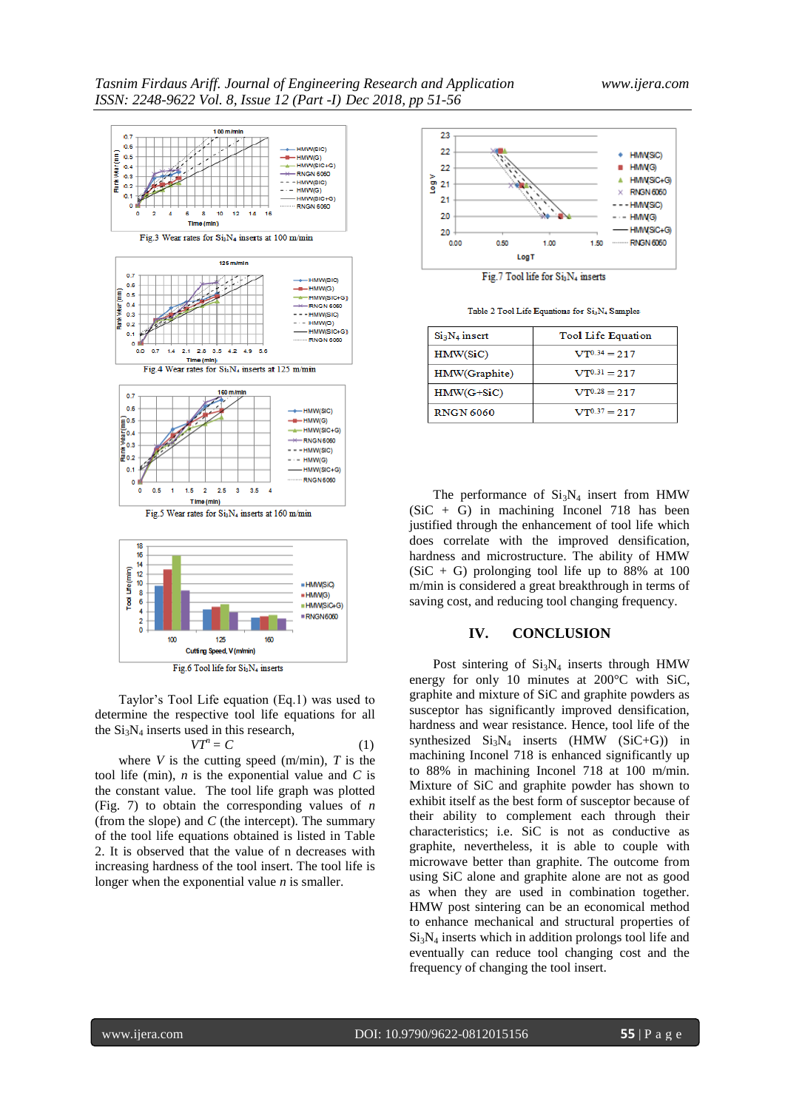

Taylor's Tool Life equation (Eq.1) was used to determine the respective tool life equations for all the Si<sub>3</sub>N<sub>4</sub> inserts used in this research,<br> $VT^n = C$ 

$$
VT^n = C \tag{1}
$$

where  $V$  is the cutting speed (m/min),  $T$  is the tool life (min), *n* is the exponential value and *C* is the constant value. The tool life graph was plotted (Fig. 7) to obtain the corresponding values of *n* (from the slope) and *C* (the intercept). The summary of the tool life equations obtained is listed in Table 2. It is observed that the value of n decreases with increasing hardness of the tool insert. The tool life is longer when the exponential value *n* is smaller.



Fig.7 Tool life for Si<sub>3</sub>N<sub>4</sub> inserts

Table 2 Tool Life Equations for Si<sub>3</sub>N<sub>4</sub> Samples

| $Si3N4$ insert   | <b>Tool Life Equation</b> |
|------------------|---------------------------|
| HMW(SiC)         | $VT^{0.34} = 217$         |
| HMW(Graphite)    | $VT^{0.31} = 217$         |
| $HMW(G+SiC)$     | $VT^{0.28} = 217$         |
| <b>RNGN 6060</b> | $VT^{0.37} = 2.17$        |

The performance of  $Si<sub>3</sub>N<sub>4</sub>$  insert from HMW  $(SiC + G)$  in machining Inconel 718 has been justified through the enhancement of tool life which does correlate with the improved densification, hardness and microstructure. The ability of HMW  $(SiC + G)$  prolonging tool life up to 88% at 100 m/min is considered a great breakthrough in terms of saving cost, and reducing tool changing frequency.

#### **IV. CONCLUSION**

Post sintering of  $Si<sub>3</sub>N<sub>4</sub>$  inserts through HMW energy for only 10 minutes at 200°C with SiC, graphite and mixture of SiC and graphite powders as susceptor has significantly improved densification, hardness and wear resistance. Hence, tool life of the synthesized  $Si<sub>3</sub>N<sub>4</sub>$  inserts (HMW (SiC+G)) in machining Inconel 718 is enhanced significantly up to 88% in machining Inconel 718 at 100 m/min. Mixture of SiC and graphite powder has shown to exhibit itself as the best form of susceptor because of their ability to complement each through their characteristics; i.e. SiC is not as conductive as graphite, nevertheless, it is able to couple with microwave better than graphite. The outcome from using SiC alone and graphite alone are not as good as when they are used in combination together. HMW post sintering can be an economical method to enhance mechanical and structural properties of Si3N<sup>4</sup> inserts which in addition prolongs tool life and eventually can reduce tool changing cost and the frequency of changing the tool insert.